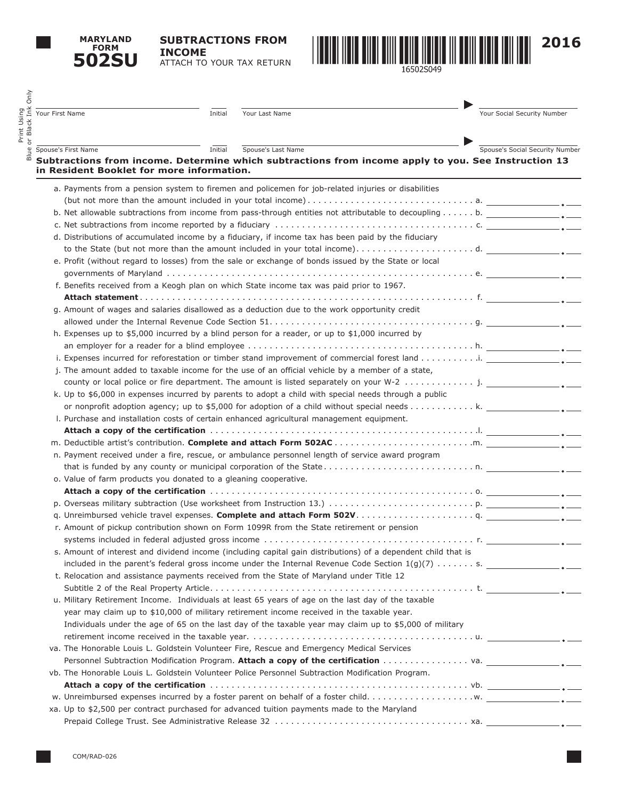

Print Using

**SUBTRACTIONS FROM INCOME**

ATTACH TO YOUR TAX RETURN



| Your First Name                                                  | Initial                                                                                                                                                                                                                        | Your Last Name                                                                                                | Your Social Security Number     |  |  |  |
|------------------------------------------------------------------|--------------------------------------------------------------------------------------------------------------------------------------------------------------------------------------------------------------------------------|---------------------------------------------------------------------------------------------------------------|---------------------------------|--|--|--|
|                                                                  |                                                                                                                                                                                                                                |                                                                                                               |                                 |  |  |  |
| Spouse's First Name                                              | Initial                                                                                                                                                                                                                        | Spouse's Last Name                                                                                            | Spouse's Social Security Number |  |  |  |
| in Resident Booklet for more information.                        |                                                                                                                                                                                                                                | Subtractions from income. Determine which subtractions from income apply to you. See Instruction 13           |                                 |  |  |  |
|                                                                  |                                                                                                                                                                                                                                | a. Payments from a pension system to firemen and policemen for job-related injuries or disabilities           |                                 |  |  |  |
|                                                                  |                                                                                                                                                                                                                                |                                                                                                               |                                 |  |  |  |
|                                                                  |                                                                                                                                                                                                                                | b. Net allowable subtractions from income from pass-through entities not attributable to decoupling b.        |                                 |  |  |  |
|                                                                  |                                                                                                                                                                                                                                |                                                                                                               |                                 |  |  |  |
|                                                                  |                                                                                                                                                                                                                                | d. Distributions of accumulated income by a fiduciary, if income tax has been paid by the fiduciary           |                                 |  |  |  |
|                                                                  |                                                                                                                                                                                                                                | to the State (but not more than the amount included in your total income)d.                                   |                                 |  |  |  |
|                                                                  |                                                                                                                                                                                                                                | e. Profit (without regard to losses) from the sale or exchange of bonds issued by the State or local          |                                 |  |  |  |
|                                                                  |                                                                                                                                                                                                                                |                                                                                                               |                                 |  |  |  |
|                                                                  |                                                                                                                                                                                                                                | f. Benefits received from a Keogh plan on which State income tax was paid prior to 1967.                      |                                 |  |  |  |
|                                                                  |                                                                                                                                                                                                                                |                                                                                                               |                                 |  |  |  |
|                                                                  |                                                                                                                                                                                                                                | g. Amount of wages and salaries disallowed as a deduction due to the work opportunity credit                  |                                 |  |  |  |
|                                                                  |                                                                                                                                                                                                                                |                                                                                                               |                                 |  |  |  |
|                                                                  |                                                                                                                                                                                                                                | h. Expenses up to \$5,000 incurred by a blind person for a reader, or up to \$1,000 incurred by               |                                 |  |  |  |
|                                                                  |                                                                                                                                                                                                                                |                                                                                                               |                                 |  |  |  |
|                                                                  |                                                                                                                                                                                                                                |                                                                                                               |                                 |  |  |  |
|                                                                  |                                                                                                                                                                                                                                | j. The amount added to taxable income for the use of an official vehicle by a member of a state,              |                                 |  |  |  |
|                                                                  |                                                                                                                                                                                                                                |                                                                                                               |                                 |  |  |  |
|                                                                  |                                                                                                                                                                                                                                | k. Up to \$6,000 in expenses incurred by parents to adopt a child with special needs through a public         |                                 |  |  |  |
|                                                                  |                                                                                                                                                                                                                                |                                                                                                               |                                 |  |  |  |
|                                                                  |                                                                                                                                                                                                                                | I. Purchase and installation costs of certain enhanced agricultural management equipment.                     |                                 |  |  |  |
|                                                                  |                                                                                                                                                                                                                                |                                                                                                               |                                 |  |  |  |
|                                                                  |                                                                                                                                                                                                                                |                                                                                                               |                                 |  |  |  |
|                                                                  |                                                                                                                                                                                                                                | n. Payment received under a fire, rescue, or ambulance personnel length of service award program              |                                 |  |  |  |
|                                                                  |                                                                                                                                                                                                                                |                                                                                                               |                                 |  |  |  |
| o. Value of farm products you donated to a gleaning cooperative. |                                                                                                                                                                                                                                |                                                                                                               |                                 |  |  |  |
|                                                                  |                                                                                                                                                                                                                                |                                                                                                               |                                 |  |  |  |
|                                                                  |                                                                                                                                                                                                                                |                                                                                                               |                                 |  |  |  |
|                                                                  |                                                                                                                                                                                                                                |                                                                                                               |                                 |  |  |  |
|                                                                  |                                                                                                                                                                                                                                | r. Amount of pickup contribution shown on Form 1099R from the State retirement or pension                     |                                 |  |  |  |
|                                                                  |                                                                                                                                                                                                                                |                                                                                                               |                                 |  |  |  |
|                                                                  |                                                                                                                                                                                                                                | s. Amount of interest and dividend income (including capital gain distributions) of a dependent child that is |                                 |  |  |  |
|                                                                  |                                                                                                                                                                                                                                |                                                                                                               |                                 |  |  |  |
|                                                                  |                                                                                                                                                                                                                                | included in the parent's federal gross income under the Internal Revenue Code Section $1(g)(7)$ s.            |                                 |  |  |  |
|                                                                  |                                                                                                                                                                                                                                | t. Relocation and assistance payments received from the State of Maryland under Title 12                      |                                 |  |  |  |
|                                                                  |                                                                                                                                                                                                                                |                                                                                                               |                                 |  |  |  |
|                                                                  |                                                                                                                                                                                                                                | u. Military Retirement Income. Individuals at least 65 years of age on the last day of the taxable            |                                 |  |  |  |
|                                                                  |                                                                                                                                                                                                                                | year may claim up to \$10,000 of military retirement income received in the taxable year.                     |                                 |  |  |  |
|                                                                  | Individuals under the age of 65 on the last day of the taxable year may claim up to \$5,000 of military                                                                                                                        |                                                                                                               |                                 |  |  |  |
|                                                                  |                                                                                                                                                                                                                                |                                                                                                               |                                 |  |  |  |
|                                                                  |                                                                                                                                                                                                                                | va. The Honorable Louis L. Goldstein Volunteer Fire, Rescue and Emergency Medical Services                    |                                 |  |  |  |
|                                                                  |                                                                                                                                                                                                                                |                                                                                                               |                                 |  |  |  |
|                                                                  | vb. The Honorable Louis L. Goldstein Volunteer Police Personnel Subtraction Modification Program.                                                                                                                              |                                                                                                               |                                 |  |  |  |
|                                                                  | Attach a copy of the certification we are not constructed as the control of the constraints of the certification we have a set of the set of the certification we have a set of the set of the set of the set of the set of th |                                                                                                               |                                 |  |  |  |
|                                                                  |                                                                                                                                                                                                                                |                                                                                                               |                                 |  |  |  |
|                                                                  |                                                                                                                                                                                                                                | xa. Up to \$2,500 per contract purchased for advanced tuition payments made to the Maryland                   |                                 |  |  |  |
|                                                                  |                                                                                                                                                                                                                                |                                                                                                               |                                 |  |  |  |